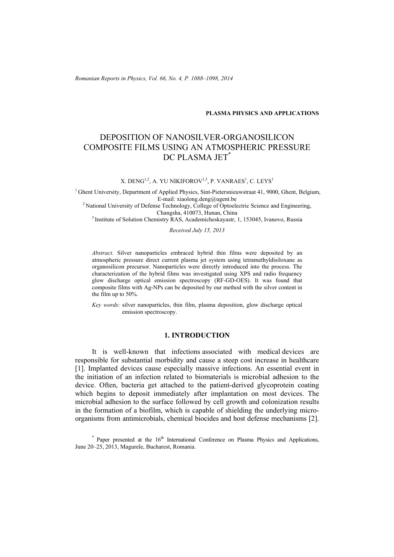*Romanian Reports in Physics, Vol. 66, No. 4, P. 1088–1098, 2014*

## **PLASMA PHYSICS AND APPLICATIONS**

# DEPOSITION OF NANOSILVER-ORGANOSILICON COMPOSITE FILMS USING AN ATMOSPHERIC PRESSURE DC PLASMA JET\*

X. DENG $^{1,2}$ , A. YU NIKIFOROV $^{1,3}$ , P. VANRAES $^{1}$ , C. LEYS $^{1}$ 

<sup>1</sup> Ghent University, Department of Applied Physics, Sint-Pietersnieuwstraat 41, 9000, Ghent, Belgium, E-mail: xiaolong.deng@ugent.be

<sup>2</sup> National University of Defense Technology, College of Optoelectric Science and Engineering, Changsha, 410073, Hunan, China

<sup>3</sup> Institute of Solution Chemistry RAS, Academicheskayastr, 1, 153045, Ivanovo, Russia

*Received July 15, 2013* 

*Abstract*. Silver nanoparticles embraced hybrid thin films were deposited by an atmospheric pressure direct current plasma jet system using tetramethyldisiloxane as organosilicon precursor. Nanoparticles were directly introduced into the process. The characterization of the hybrid films was investigated using XPS and radio frequency glow discharge optical emission spectroscopy (RF-GD-OES). It was found that composite films with Ag-NPs can be deposited by our method with the silver content in the film up to 50%.

*Key words*: silver nanoparticles, thin film, plasma deposition, glow discharge optical emission spectroscopy.

## **1. INTRODUCTION**

It is well-known that infections associated with medical devices are responsible for substantial morbidity and cause a steep cost increase in healthcare [1]. Implanted devices cause especially massive infections. An essential event in the initiation of an infection related to biomaterials is microbial adhesion to the device. Often, bacteria get attached to the patient-derived glycoprotein coating which begins to deposit immediately after implantation on most devices. The microbial adhesion to the surface followed by cell growth and colonization results in the formation of a biofilm, which is capable of shielding the underlying microorganisms from antimicrobials, chemical biocides and host defense mechanisms [2].

 $*$  Paper presented at the  $16<sup>th</sup>$  International Conference on Plasma Physics and Applications, June 20–25, 2013, Magurele, Bucharest, Romania.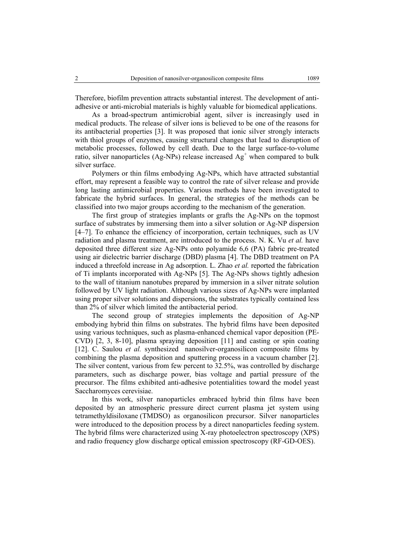Therefore, biofilm prevention attracts substantial interest. The development of antiadhesive or anti-microbial materials is highly valuable for biomedical applications.

As a broad-spectrum antimicrobial agent, silver is increasingly used in medical products. The release of silver ions is believed to be one of the reasons for its antibacterial properties [3]. It was proposed that ionic silver strongly interacts with thiol groups of enzymes, causing structural changes that lead to disruption of metabolic processes, followed by cell death. Due to the large surface-to-volume ratio, silver nanoparticles (Ag-NPs) release increased  $Ag<sup>+</sup>$  when compared to bulk silver surface.

Polymers or thin films embodying Ag-NPs, which have attracted substantial effort, may represent a feasible way to control the rate of silver release and provide long lasting antimicrobial properties. Various methods have been investigated to fabricate the hybrid surfaces. In general, the strategies of the methods can be classified into two major groups according to the mechanism of the generation.

The first group of strategies implants or grafts the Ag-NPs on the topmost surface of substrates by immersing them into a silver solution or Ag-NP dispersion [4–7]. To enhance the efficiency of incorporation, certain techniques, such as UV radiation and plasma treatment, are introduced to the process. N. K. Vu *et al.* have deposited three different size Ag-NPs onto polyamide 6,6 (PA) fabric pre-treated using air dielectric barrier discharge (DBD) plasma [4]. The DBD treatment on PA induced a threefold increase in Ag adsorption. L. Zhao *et al.* reported the fabrication of Ti implants incorporated with Ag-NPs [5]. The Ag-NPs shows tightly adhesion to the wall of titanium nanotubes prepared by immersion in a silver nitrate solution followed by UV light radiation. Although various sizes of Ag-NPs were implanted using proper silver solutions and dispersions, the substrates typically contained less than 2% of silver which limited the antibacterial period.

The second group of strategies implements the deposition of Ag-NP embodying hybrid thin films on substrates. The hybrid films have been deposited using various techniques, such as plasma-enhanced chemical vapor deposition (PE-CVD) [2, 3, 8-10], plasma spraying deposition [11] and casting or spin coating [12]. C. Saulou *et al.* synthesized nanosilver-organosilicon composite films by combining the plasma deposition and sputtering process in a vacuum chamber [2]. The silver content, various from few percent to 32.5%, was controlled by discharge parameters, such as discharge power, bias voltage and partial pressure of the precursor. The films exhibited anti-adhesive potentialities toward the model yeast Saccharomyces cerevisiae.

In this work, silver nanoparticles embraced hybrid thin films have been deposited by an atmospheric pressure direct current plasma jet system using tetramethyldisiloxane (TMDSO) as organosilicon precursor. Silver nanoparticles were introduced to the deposition process by a direct nanoparticles feeding system. The hybrid films were characterized using X-ray photoelectron spectroscopy (XPS) and radio frequency glow discharge optical emission spectroscopy (RF-GD-OES).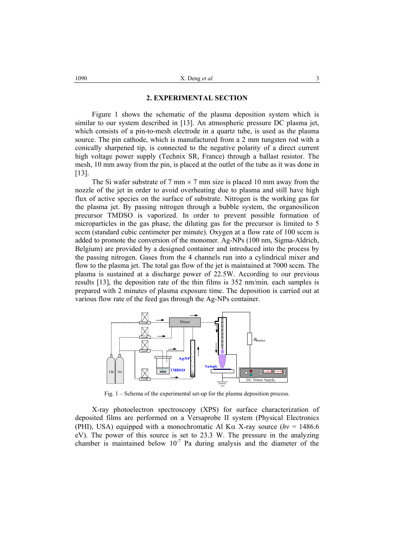## **2. EXPERIMENTAL SECTION**

Figure 1 shows the schematic of the plasma deposition system which is similar to our system described in [13]. An atmospheric pressure DC plasma jet, which consists of a pin-to-mesh electrode in a quartz tube, is used as the plasma source. The pin cathode, which is manufactured from a 2 mm tungsten rod with a conically sharpened tip, is connected to the negative polarity of a direct current high voltage power supply (Technix SR, France) through a ballast resistor. The mesh, 10 mm away from the pin, is placed at the outlet of the tube as it was done in [13].

The Si wafer substrate of 7 mm  $\times$  7 mm size is placed 10 mm away from the nozzle of the jet in order to avoid overheating due to plasma and still have high flux of active species on the surface of substrate. Nitrogen is the working gas for the plasma jet. By passing nitrogen through a bubble system, the organosilicon precursor TMDSO is vaporized. In order to prevent possible formation of microparticles in the gas phase, the diluting gas for the precursor is limited to 5 sccm (standard cubic centimeter per minute). Oxygen at a flow rate of 100 sccm is added to promote the conversion of the monomer. Ag-NPs (100 nm, Sigma-Aldrich, Belgium) are provided by a designed container and introduced into the process by the passing nitrogen. Gases from the 4 channels run into a cylindrical mixer and flow to the plasma jet. The total gas flow of the jet is maintained at 7000 sccm. The plasma is sustained at a discharge power of 22.5W. According to our previous results [13], the deposition rate of the thin films is 352 nm/min. each samples is prepared with 2 minutes of plasma exposure time. The deposition is carried out at various flow rate of the feed gas through the Ag-NPs container.



Fig. 1 – Schema of the experimental set-up for the plasma deposition process.

X-ray photoelectron spectroscopy (XPS) for surface characterization of deposited films are performed on a Versaprobe II system (Physical Electronics (PHI), USA) equipped with a monochromatic Al K $\alpha$  X-ray source (*h*y = 1486.6) eV). The power of this source is set to 23.3 W. The pressure in the analyzing chamber is maintained below  $10^{-7}$  Pa during analysis and the diameter of the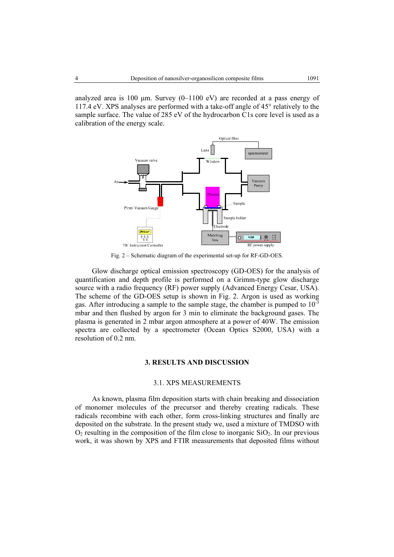analyzed area is 100  $\mu$ m. Survey (0–1100 eV) are recorded at a pass energy of 117.4 eV. XPS analyses are performed with a take-off angle of 45° relatively to the sample surface. The value of 285 eV of the hydrocarbon C1s core level is used as a calibration of the energy scale.



Fig. 2 – Schematic diagram of the experimental set-up for RF-GD-OES.

Glow discharge optical emission spectroscopy (GD-OES) for the analysis of quantification and depth profile is performed on a Grimm-type glow discharge source with a radio frequency (RF) power supply (Advanced Energy Cesar, USA). The scheme of the GD-OES setup is shown in Fig. 2. Argon is used as working gas. After introducing a sample to the sample stage, the chamber is pumped to  $10^{-3}$ mbar and then flushed by argon for 3 min to eliminate the background gases. The plasma is generated in 2 mbar argon atmosphere at a power of 40W. The emission spectra are collected by a spectrometer (Ocean Optics S2000, USA) with a resolution of 0.2 nm.

#### **3. RESULTS AND DISCUSSION**

## 3.1. XPS MEASUREMENTS

As known, plasma film deposition starts with chain breaking and dissociation of monomer molecules of the precursor and thereby creating radicals. These radicals recombine with each other, form cross-linking structures and finally are deposited on the substrate. In the present study we, used a mixture of TMDSO with  $O_2$  resulting in the composition of the film close to inorganic  $SiO_2$ . In our previous work, it was shown by XPS and FTIR measurements that deposited films without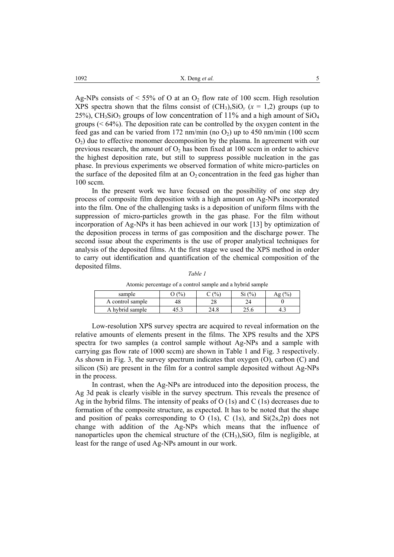Ag-NPs consists of  $\leq 55\%$  of O at an O<sub>2</sub> flow rate of 100 sccm. High resolution XPS spectra shown that the films consist of  $(CH_3)_x$ SiO<sub>*y*</sub> ( $x = 1,2$ ) groups (up to 25%), CH<sub>3</sub>SiO<sub>3</sub> groups of low concentration of  $11\%$  and a high amount of SiO<sub>4</sub> groups  $(< 64\%)$ . The deposition rate can be controlled by the oxygen content in the feed gas and can be varied from 172 nm/min (no  $O_2$ ) up to 450 nm/min (100 sccm  $O<sub>2</sub>$ ) due to effective monomer decomposition by the plasma. In agreement with our previous research, the amount of  $O_2$  has been fixed at 100 sccm in order to achieve the highest deposition rate, but still to suppress possible nucleation in the gas phase. In previous experiments we observed formation of white micro-particles on the surface of the deposited film at an  $O_2$  concentration in the feed gas higher than 100 sccm.

In the present work we have focused on the possibility of one step dry process of composite film deposition with a high amount on Ag-NPs incorporated into the film. One of the challenging tasks is a deposition of uniform films with the suppression of micro-particles growth in the gas phase. For the film without incorporation of Ag-NPs it has been achieved in our work [13] by optimization of the deposition process in terms of gas composition and the discharge power. The second issue about the experiments is the use of proper analytical techniques for analysis of the deposited films. At the first stage we used the XPS method in order to carry out identification and quantification of the chemical composition of the deposited films.

*Table 1* 

Atomic percentage of a control sample and a hybrid sample

| sample           | $\frac{0}{6}$ | (%       | (9/0)<br>◡ | $\frac{1}{2}$<br>A₫ |
|------------------|---------------|----------|------------|---------------------|
| A control sample | 48            | າດ<br>20 | 24         |                     |
| A hybrid sample  |               | 24.8     |            | 4.5                 |

Low-resolution XPS survey spectra are acquired to reveal information on the relative amounts of elements present in the films. The XPS results and the XPS spectra for two samples (a control sample without Ag-NPs and a sample with carrying gas flow rate of 1000 sccm) are shown in Table 1 and Fig. 3 respectively. As shown in Fig. 3, the survey spectrum indicates that oxygen (O), carbon (C) and silicon (Si) are present in the film for a control sample deposited without Ag-NPs in the process.

In contrast, when the Ag-NPs are introduced into the deposition process, the Ag 3d peak is clearly visible in the survey spectrum. This reveals the presence of Ag in the hybrid films. The intensity of peaks of O (1s) and C (1s) decreases due to formation of the composite structure, as expected. It has to be noted that the shape and position of peaks corresponding to O  $(1s)$ , C  $(1s)$ , and  $Si(2s,2p)$  does not change with addition of the Ag-NPs which means that the influence of nanoparticles upon the chemical structure of the  $(CH_3)_xSiO_y$  film is negligible, at least for the range of used Ag-NPs amount in our work.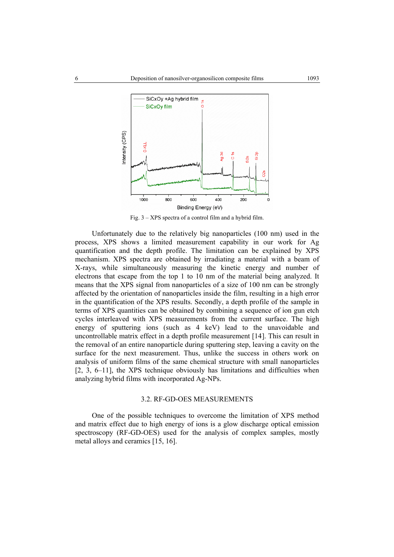

Fig. 3 – XPS spectra of a control film and a hybrid film.

Unfortunately due to the relatively big nanoparticles (100 nm) used in the process, XPS shows a limited measurement capability in our work for Ag quantification and the depth profile. The limitation can be explained by XPS mechanism. XPS spectra are obtained by irradiating a material with a beam of X-rays, while simultaneously measuring the kinetic energy and number of electrons that escape from the top 1 to 10 nm of the material being analyzed. It means that the XPS signal from nanoparticles of a size of 100 nm can be strongly affected by the orientation of nanoparticles inside the film, resulting in a high error in the quantification of the XPS results. Secondly, a depth profile of the sample in terms of XPS quantities can be obtained by combining a sequence of ion gun etch cycles interleaved with XPS measurements from the current surface. The high energy of sputtering ions (such as 4 keV) lead to the unavoidable and uncontrollable matrix effect in a depth profile measurement [14]. This can result in the removal of an entire nanoparticle during sputtering step, leaving a cavity on the surface for the next measurement. Thus, unlike the success in others work on analysis of uniform films of the same chemical structure with small nanoparticles [2, 3, 6–11], the XPS technique obviously has limitations and difficulties when analyzing hybrid films with incorporated Ag-NPs.

#### 3.2. RF-GD-OES MEASUREMENTS

One of the possible techniques to overcome the limitation of XPS method and matrix effect due to high energy of ions is a glow discharge optical emission spectroscopy (RF-GD-OES) used for the analysis of complex samples, mostly metal alloys and ceramics [15, 16].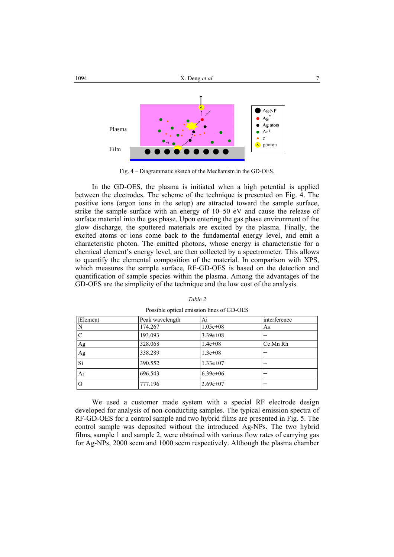

Fig. 4 – Diagrammatic sketch of the Mechanism in the GD-OES.

In the GD-OES, the plasma is initiated when a high potential is applied between the electrodes. The scheme of the technique is presented on Fig. 4. The positive ions (argon ions in the setup) are attracted toward the sample surface, strike the sample surface with an energy of 10–50 eV and cause the release of surface material into the gas phase. Upon entering the gas phase environment of the glow discharge, the sputtered materials are excited by the plasma. Finally, the excited atoms or ions come back to the fundamental energy level, and emit a characteristic photon. The emitted photons, whose energy is characteristic for a chemical element's energy level, are then collected by a spectrometer. This allows to quantify the elemental composition of the material. In comparison with XPS, which measures the sample surface, RF-GD-OES is based on the detection and quantification of sample species within the plasma. Among the advantages of the GD-OES are the simplicity of the technique and the low cost of the analysis.

| Element  | Peak wavelength | Ai           | interference |
|----------|-----------------|--------------|--------------|
| N        | 174.267         | $1.05e + 08$ | As           |
| C        | 193.093         | $3.39e + 08$ |              |
| Ag       | 328.068         | $1.4e + 08$  | Ce Mn Rh     |
| Ag       | 338.289         | $1.3e + 0.8$ |              |
| Si       | 390.552         | $1.33e+07$   |              |
| Ar       | 696.543         | $6.39e+06$   |              |
| $\Omega$ | 777.196         | $3.69e+07$   |              |

*Table 2*  Possible optical emission lines of GD-OES

We used a customer made system with a special RF electrode design developed for analysis of non-conducting samples. The typical emission spectra of RF-GD-OES for a control sample and two hybrid films are presented in Fig. 5. The control sample was deposited without the introduced Ag-NPs. The two hybrid films, sample 1 and sample 2, were obtained with various flow rates of carrying gas for Ag-NPs, 2000 sccm and 1000 sccm respectively. Although the plasma chamber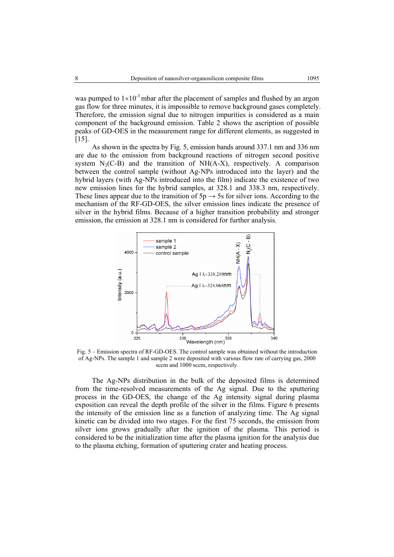was pumped to  $1\times10^{-3}$  mbar after the placement of samples and flushed by an argon gas flow for three minutes, it is impossible to remove background gases completely. Therefore, the emission signal due to nitrogen impurities is considered as a main component of the background emission. Table 2 shows the ascription of possible peaks of GD-OES in the measurement range for different elements, as suggested in [15].

As shown in the spectra by Fig. 5, emission bands around 337.1 nm and 336 nm are due to the emission from background reactions of nitrogen second positive system  $N_2(C-B)$  and the transition of NH(A-X), respectively. A comparison between the control sample (without Ag-NPs introduced into the layer) and the hybrid layers (with Ag-NPs introduced into the film) indicate the existence of two new emission lines for the hybrid samples, at 328.1 and 338.3 nm, respectively. These lines appear due to the transition of  $5p \rightarrow 5s$  for silver ions. According to the mechanism of the RF-GD-OES, the silver emission lines indicate the presence of silver in the hybrid films. Because of a higher transition probability and stronger emission, the emission at 328.1 nm is considered for further analysis.



Fig. 5 – Emission spectra of RF-GD-OES. The control sample was obtained without the introduction of Ag-NPs. The sample 1 and sample 2 were deposited with various flow rate of carrying gas, 2000 sccm and 1000 sccm, respectively.

The Ag-NPs distribution in the bulk of the deposited films is determined from the time-resolved measurements of the Ag signal. Due to the sputtering process in the GD-OES, the change of the Ag intensity signal during plasma exposition can reveal the depth profile of the silver in the films. Figure 6 presents the intensity of the emission line as a function of analyzing time. The Ag signal kinetic can be divided into two stages. For the first 75 seconds, the emission from silver ions grows gradually after the ignition of the plasma. This period is considered to be the initialization time after the plasma ignition for the analysis due to the plasma etching, formation of sputtering crater and heating process.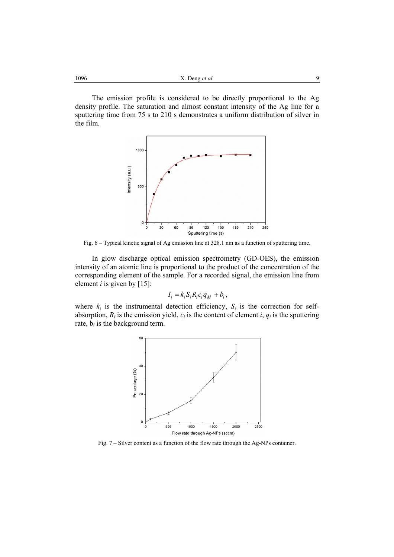1096 **a** *x*. Deng *et al.* **9** 

The emission profile is considered to be directly proportional to the Ag density profile. The saturation and almost constant intensity of the Ag line for a sputtering time from 75 s to 210 s demonstrates a uniform distribution of silver in the film.



Fig. 6 – Typical kinetic signal of Ag emission line at 328.1 nm as a function of sputtering time.

In glow discharge optical emission spectrometry (GD-OES), the emission intensity of an atomic line is proportional to the product of the concentration of the corresponding element of the sample. For a recorded signal, the emission line from element *i* is given by [15]:

$$
I_i = k_i S_i R_i c_i q_M + b_i,
$$

where  $k_i$  is the instrumental detection efficiency,  $S_i$  is the correction for selfabsorption,  $R_i$  is the emission yield,  $c_i$  is the content of element  $i$ ,  $q_i$  is the sputtering rate,  $b_i$  is the background term.



Fig. 7 – Silver content as a function of the flow rate through the Ag-NPs container.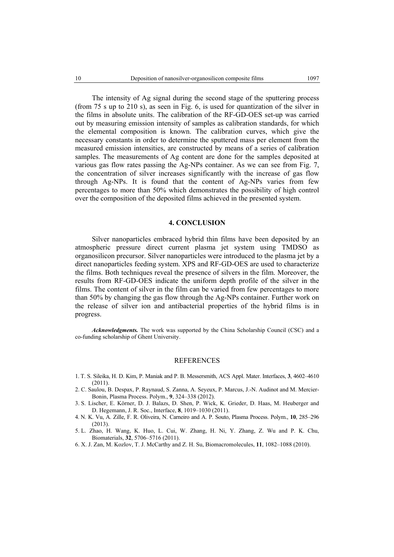The intensity of Ag signal during the second stage of the sputtering process (from 75 s up to 210 s), as seen in Fig. 6, is used for quantization of the silver in the films in absolute units. The calibration of the RF-GD-OES set-up was carried out by measuring emission intensity of samples as calibration standards, for which the elemental composition is known. The calibration curves, which give the necessary constants in order to determine the sputtered mass per element from the measured emission intensities, are constructed by means of a series of calibration samples. The measurements of Ag content are done for the samples deposited at various gas flow rates passing the Ag-NPs container. As we can see from Fig. 7, the concentration of silver increases significantly with the increase of gas flow through Ag-NPs. It is found that the content of Ag-NPs varies from few percentages to more than 50% which demonstrates the possibility of high control over the composition of the deposited films achieved in the presented system.

#### **4. CONCLUSION**

Silver nanoparticles embraced hybrid thin films have been deposited by an atmospheric pressure direct current plasma jet system using TMDSO as organosilicon precursor. Silver nanoparticles were introduced to the plasma jet by a direct nanoparticles feeding system. XPS and RF-GD-OES are used to characterize the films. Both techniques reveal the presence of silvers in the film. Moreover, the results from RF-GD-OES indicate the uniform depth profile of the silver in the films. The content of silver in the film can be varied from few percentages to more than 50% by changing the gas flow through the Ag-NPs container. Further work on the release of silver ion and antibacterial properties of the hybrid films is in progress.

*Acknowledgments.* The work was supported by the China Scholarship Council (CSC) and a co-funding scholarship of Ghent University.

## **REFERENCES**

- 1. T. S. Sileika, H. D. Kim, P. Maniak and P. B. Messersmith, ACS Appl. Mater. Interfaces, **3**, 4602–4610 (2011).
- 2. C. Saulou, B. Despax, P. Raynaud, S. Zanna, A. Seyeux, P. Marcus, J.-N. Audinot and M. Mercier-Bonin, Plasma Process. Polym., **9**, 324–338 (2012).
- 3. S. Lischer, E. Körner, D. J. Balazs, D. Shen, P. Wick, K. Grieder, D. Haas, M. Heuberger and D. Hegemann, J. R. Soc., Interface, **8**, 1019–1030 (2011).
- 4. N. K. Vu, A. Zille, F. R. Oliveira, N. Carneiro and A. P. Souto, Plasma Process. Polym., **10**, 285–296 (2013).
- 5. L. Zhao, H. Wang, K. Huo, L. Cui, W. Zhang, H. Ni, Y. Zhang, Z. Wu and P. K. Chu, Biomaterials, **32**, 5706–5716 (2011).
- 6. X. J. Zan, M. Kozlov, T. J. McCarthy and Z. H. Su, Biomacromolecules, **11**, 1082–1088 (2010).